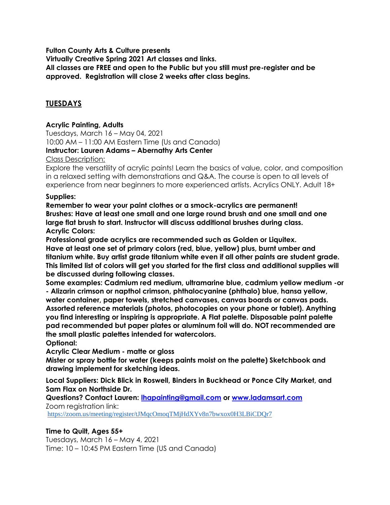**Fulton County Arts & Culture presents**

**Virtually Creative Spring 2021 Art classes and links.** 

**All classes are FREE and open to the Public but you still must pre-register and be approved. Registration will close 2 weeks after class begins.** 

# **TUESDAYS**

#### **Acrylic Painting, Adults**

Tuesdays, March 16 – May 04, 2021 10:00 AM – 11:00 AM Eastern Time (Us and Canada) **Instructor: Lauren Adams – Abernathy Arts Center**

Class Description:

Explore the versatility of acrylic paints! Learn the basics of value, color, and composition in a relaxed setting with demonstrations and Q&A. The course is open to all levels of experience from near beginners to more experienced artists. Acrylics ONLY. Adult 18+

#### **Supplies:**

**Remember to wear your paint clothes or a smock-acrylics are permanent! Brushes: Have at least one small and one large round brush and one small and one large flat brush to start. Instructor will discuss additional brushes during class. Acrylic Colors:**

**Professional grade acrylics are recommended such as Golden or Liquitex. Have at least one set of primary colors (red, blue, yellow) plus, burnt umber and titanium white. Buy artist grade titanium white even if all other paints are student grade. This limited list of colors will get you started for the first class and additional supplies will be discussed during following classes.**

**Some examples: Cadmium red medium, ultramarine blue, cadmium yellow medium -or - Alizarin crimson or napthol crimson, phthalocyanine (phthalo) blue, hansa yellow, water container, paper towels, stretched canvases, canvas boards or canvas pads. Assorted reference materials (photos, photocopies on your phone or tablet). Anything you find interesting or inspiring is appropriate. A Flat palette. Disposable paint palette pad recommended but paper plates or aluminum foil will do. NOT recommended are the small plastic palettes intended for watercolors.**

**Optional:**

**Acrylic Clear Medium - matte or gloss**

**Mister or spray bottle for water (keeps paints moist on the palette) Sketchbook and drawing implement for sketching ideas.**

**Local Suppliers: Dick Blick in Roswell, Binders in Buckhead or Ponce City Market, and Sam Flax on Northside Dr.**

**Questions? Contact Lauren: [lhapainting@gmail.com](mailto:lhapainting@gmail.com) or [www.ladamsart.com](https://urldefense.proofpoint.com/v2/url?u=http-3A__www.ladamsart.com&d=DwMFaQ&c=HPJvcKF4Kk5Wqru1T_u_fOsw8NVQVa3gp0ReMdlciXw&r=tkhPO6uEsLfgj1_6RkrM3R3ndoR61hkMsWnjNdPR3gs&m=7jLtoogtc3XVGkkgKtE3WAyudneFqmHIflBW6WWehgM&s=HFy8l8l-_zRA4vdXjMyr9G1qJSqm5-9YDvVBat3VAHU&e=)** Zoom registration link:

<https://zoom.us/meeting/register/tJMqcOmoqTMjHdXYv8n7bwxox0H3LBiCDQr7>

#### **Time to Quilt, Ages 55+**

Tuesdays, March 16 – May 4, 2021 Time: 10 – 10:45 PM Eastern Time (US and Canada)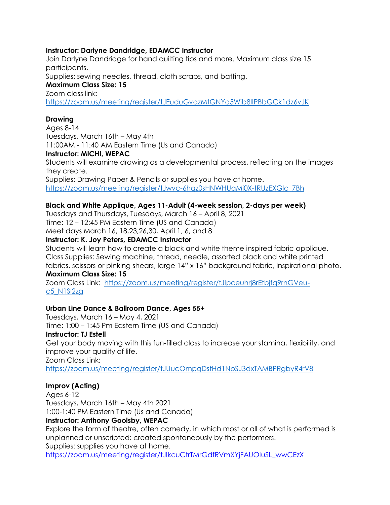#### **Instructor: Darlyne Dandridge, EDAMCC Instructor**

Join Darlyne Dandridge for hand quilting tips and more. Maximum class size 15 participants. Supplies: sewing needles, thread, cloth scraps, and batting.

#### **Maximum Class Size: 15**  Zoom class link:

<https://zoom.us/meeting/register/tJEuduGvqzMtGNYa5Wib8IIPBbGCk1dz6vJK>

# **Drawing**

Ages 8-14 Tuesdays, March 16th – May 4th 11:00AM - 11:40 AM Eastern Time (Us and Canada) **Instructor: MICHI, WEPAC** Students will examine drawing as a developmental process, reflecting on the images they create. Supplies: Drawing Paper & Pencils or supplies you have at home.

https://zoom.us/meeting/register/tJwvc-6hqz0sHNWHUaMi0X-tRUzEXGlc\_7Bh

# **Black and White Applique, Ages 11-Adult (4-week session, 2-days per week)**

Tuesdays and Thursdays, Tuesdays, March 16 – April 8, 2021 Time: 12 – 12:45 PM Eastern Time (US and Canada) Meet days March 16, 18,23,26,30, April 1, 6, and 8

#### **Instructor: K. Joy Peters, EDAMCC Instructor**

Students will learn how to create a black and white theme inspired fabric applique. Class Supplies: Sewing machine, thread, needle, assorted black and white printed fabrics, scissors or pinking shears, large 14" x 16" background fabric, inspirational photo. **Maximum Class Size: 15**

Zoom Class Link: [https://zoom.us/meeting/register/tJIpceuhrj8rEtbjfq9rnGVeu](https://zoom.us/meeting/register/tJIpceuhrj8rEtbjfq9rnGVeu-c5_N1Sl2zg)[c5\\_N1Sl2zg](https://zoom.us/meeting/register/tJIpceuhrj8rEtbjfq9rnGVeu-c5_N1Sl2zg)

# **Urban Line Dance & Ballroom Dance, Ages 55+**

Tuesdays, March 16 – May 4, 2021 Time: 1:00 – 1:45 Pm Eastern Time (US and Canada) **Instructor: TJ Estell** Get your body moving with this fun-filled class to increase your stamina, flexibility, and improve your quality of life. Zoom Class Link[:](https://zoom.us/meeting/register/tJUucOmpqDstHd1NoSJ3dxTAMBPRgbyR4rV8)

<https://zoom.us/meeting/register/tJUucOmpqDstHd1NoSJ3dxTAMBPRgbyR4rV8>

# **Improv (Acting)**

Ages 6-12 Tuesdays, March 16th – May 4th 2021 1:00-1:40 PM Eastern Time (Us and Canada) **Instructor: Anthony Goolsby, WEPAC**

Explore the form of theatre, often comedy, in which most or all of what is performed is unplanned or unscripted: created spontaneously by the performers. Supplies: supplies you have at home.

[https://zoom.us/meeting/register/tJIkcuCtrTMrGdfRVmXYjFAUOIuSL\\_wwCEzX](https://zoom.us/meeting/register/tJIkcuCtrTMrGdfRVmXYjFAUOIuSL_wwCEzX)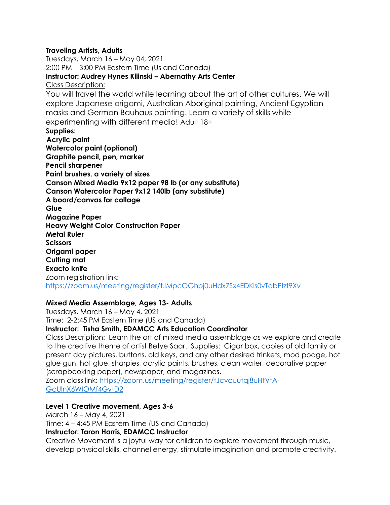#### **Traveling Artists, Adults**

Tuesdays, March 16 – May 04, 2021 2:00 PM – 3:00 PM Eastern Time (Us and Canada) **Instructor: Audrey Hynes Kilinski – Abernathy Arts Center** Class Description: You will travel the world while learning about the art of other cultures. We will explore Japanese origami, Australian Aboriginal painting, Ancient Egyptian masks and German Bauhaus painting. Learn a variety of skills while experimenting with different media! Adult 18+ **Supplies: Acrylic paint Watercolor paint (optional) Graphite pencil, pen, marker Pencil sharpener Paint brushes, a variety of sizes Canson Mixed Media 9x12 paper 98 lb (or any substitute) Canson Watercolor Paper 9x12 140lb (any substitute) A board/canvas for collage Glue Magazine Paper Heavy Weight Color Construction Paper Metal Ruler Scissors Origami paper Cutting mat Exacto knife** Zoom registration link: <https://zoom.us/meeting/register/tJMpcOGhpj0uHdx7Sx4EDKls0vTqbPIzt9Xv>

# **Mixed Media Assemblage, Ages 13- Adults**

Tuesdays, March 16 – May 4, 2021 Time: 2-2:45 PM Eastern Time (US and Canada)

#### **Instructor: Tisha Smith, EDAMCC Arts Education Coordinator**

Class Description: Learn the art of mixed media assemblage as we explore and create to the creative theme of artist Betye Saar. Supplies: Cigar box, copies of old family or present day pictures, buttons, old keys, and any other desired trinkets, mod podge, hot glue gun, hot glue, sharpies, acrylic paints, brushes, clean water, decorative paper (scrapbooking paper), newspaper, and magazines.

Zoom class link[:](https://zoom.us/meeting/register/tJcvcuutqj8uHtVtA-GcUlnX6WIOMf4GytD2) [https://zoom.us/meeting/register/tJcvcuutqj8uHtVtA-](https://zoom.us/meeting/register/tJcvcuutqj8uHtVtA-GcUlnX6WIOMf4GytD2)[GcUlnX6WIOMf4GytD2](https://zoom.us/meeting/register/tJcvcuutqj8uHtVtA-GcUlnX6WIOMf4GytD2)

# **Level 1 Creative movement, Ages 3-6**

March 16 – May 4, 2021

Time: 4 – 4:45 PM Eastern Time (US and Canada)

# **Instructor: Taron Harris, EDAMCC Instructor**

Creative Movement is a joyful way for children to explore movement through music, develop physical skills, channel energy, stimulate imagination and promote creativity.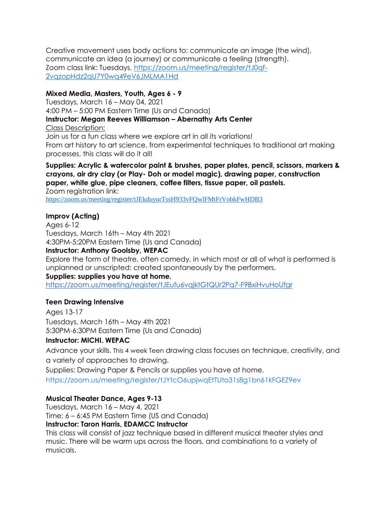Creative movement uses body actions to: communicate an image (the wind), communicate an idea (a journey) or communicate a feeling (strength). Zoom class link: [Tuesdays, https://zoom.us/meeting/register/tJ0qf-](https://zoom.us/meeting/register/tJ0qf-2vqzopHdz2qU7Y0wq49eV6JMLMA1Hd)[2vqzopHdz2qU7Y0wq49eV6JMLMA1Hd](https://zoom.us/meeting/register/tJ0qf-2vqzopHdz2qU7Y0wq49eV6JMLMA1Hd)

# **Mixed Media, Masters, Youth, Ages 6 - 9**

Tuesdays, March 16 – May 04, 2021 4:00 PM – 5:00 PM Eastern Time (Us and Canada) **Instructor: Megan Reeves Williamson – Abernathy Arts Center** Class Description: Join us for a fun class where we explore art in all its variations!

From art history to art science, from experimental techniques to traditional art making processes, this class will do it all!

# **Supplies: Acrylic & watercolor paint & brushes, paper plates, pencil, scissors, markers & crayons, air dry clay (or Play- Doh or model magic), drawing paper, construction paper, white glue, pipe cleaners, coffee filters, tissue paper, oil pastels.**

Zoom registration link: <https://zoom.us/meeting/register/tJEkduyurTssH933vFQwlFMtFrVobkFwHDB3>

# **Improv (Acting)**

Ages 6-12 Tuesdays, March 16th – May 4th 2021 4:30PM-5:20PM Eastern Time (Us and Canada)

#### **Instructor: Anthony Goolsby, WEPAC**

Explore the form of theatre, often comedy, in which most or all of what is performed is unplanned or unscripted: created spontaneously by the performers.

#### **Supplies: supplies you have at home.**

<https://zoom.us/meeting/register/tJEufu6vqjktGtQUr2Pq7-F9BxiHvuHoUfgr>

#### **Teen Drawing Intensive**

Ages 13-17 Tuesdays, March 16th – May 4th 2021 5:30PM-6:30PM Eastern Time (Us and Canada)

#### **Instructor: MICHI. WEPAC**

Advance your skills. This 4 week Teen drawing class focuses on technique, creativity, and a variety of approaches to drawing.

Supplies: Drawing Paper & Pencils or supplies you have at home. <https://zoom.us/meeting/register/tJYtcO6upjwqEtTUto31s8g1bn61kFGEZ9ev>

#### **Musical Theater Dance, Ages 9-13**

Tuesdays, March 16 – May 4, 2021 Time: 6 – 6:45 PM Eastern Time (US and Canada) **Instructor: Taron Harris, EDAMCC Instructor**

This class will consist of jazz technique based in different musical theater styles and music. There will be warm ups across the floors, and combinations to a variety of musicals.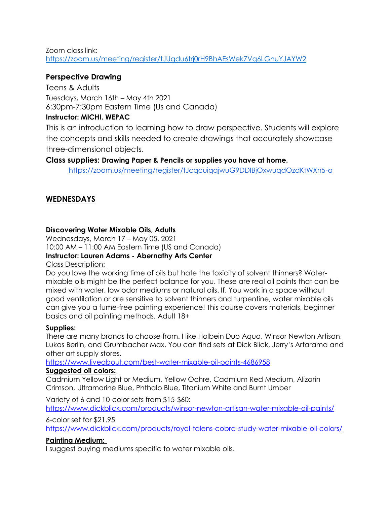Zoom class link[:](https://zoom.us/meeting/register/tJUqdu6trj0rH9BhAEsWek7Vq6LGnuYJAYW2) <https://zoom.us/meeting/register/tJUqdu6trj0rH9BhAEsWek7Vq6LGnuYJAYW2>

# **Perspective Drawing**

Teens & Adults Tuesdays, March 16th – May 4th 2021 6:30pm-7:30pm Eastern Time (Us and Canada)

# **Instructor: MICHI. WEPAC**

This is an introduction to learning how to draw perspective. Students will explore the concepts and skills needed to create drawings that accurately showcase three-dimensional objects.

# **Class supplies: Drawing Paper & Pencils or supplies you have at home.**

<https://zoom.us/meeting/register/tJcqcuiqqjwuG9DDIBjOxwuqdOzdKtWXn5-a>

# **WEDNESDAYS**

# **Discovering Water Mixable Oils**, **Adults**

Wednesdays, March 17 – May 05, 2021 10:00 AM – 11:00 AM Eastern Time (US and Canada)

# **Instructor: Lauren Adams - Abernathy Arts Center**

#### Class Description:

Do you love the working time of oils but hate the toxicity of solvent thinners? Watermixable oils might be the perfect balance for you. These are real oil paints that can be mixed with water, low odor mediums or natural oils. If. You work in a space without good ventilation or are sensitive to solvent thinners and turpentine, water mixable oils can give you a fume-free painting experience! This course covers materials, beginner basics and oil painting methods. Adult 18+

# **Supplies:**

There are many brands to choose from. I like Holbein Duo Aqua, Winsor Newton Artisan, Lukas Berlin, and Grumbacher Max. You can find sets at Dick Blick, Jerry's Artarama and other art supply stores.

# [https://www.liveabout.com/best-water-mixable-oil-paints-4686958](https://urldefense.proofpoint.com/v2/url?u=https-3A__www.liveabout.com_best-2Dwater-2Dmixable-2Doil-2Dpaints-2D4686958&d=DwMFaQ&c=HPJvcKF4Kk5Wqru1T_u_fOsw8NVQVa3gp0ReMdlciXw&r=tkhPO6uEsLfgj1_6RkrM3R3ndoR61hkMsWnjNdPR3gs&m=7jLtoogtc3XVGkkgKtE3WAyudneFqmHIflBW6WWehgM&s=wlTMgFIlaxhF5VXG55_kLLdLB7SQAx3vLRaKCM7ry7U&e=)

# **Suggested oil colors:**

Cadmium Yellow Light or Medium, Yellow Ochre, Cadmium Red Medium, Alizarin Crimson, Ultramarine Blue, Phthalo Blue, Titanium White and Burnt Umber

Variety of 6 and 10-color sets from \$15-\$60:

[https://www.dickblick.com/products/winsor-newton-artisan-water-mixable-oil-paints/](https://urldefense.proofpoint.com/v2/url?u=https-3A__www.dickblick.com_products_winsor-2Dnewton-2Dartisan-2Dwater-2Dmixable-2Doil-2Dpaints_&d=DwMFaQ&c=HPJvcKF4Kk5Wqru1T_u_fOsw8NVQVa3gp0ReMdlciXw&r=tkhPO6uEsLfgj1_6RkrM3R3ndoR61hkMsWnjNdPR3gs&m=7jLtoogtc3XVGkkgKtE3WAyudneFqmHIflBW6WWehgM&s=q7b5qu3m469EPVxtUl2gFwj_H761sR2j7PRoqekNSho&e=)

#### 6-color set for \$21.95

[https://www.dickblick.com/products/royal-talens-cobra-study-water-mixable-oil-colors/](https://urldefense.proofpoint.com/v2/url?u=https-3A__www.dickblick.com_products_royal-2Dtalens-2Dcobra-2Dstudy-2Dwater-2Dmixable-2Doil-2Dcolors_&d=DwMFaQ&c=HPJvcKF4Kk5Wqru1T_u_fOsw8NVQVa3gp0ReMdlciXw&r=tkhPO6uEsLfgj1_6RkrM3R3ndoR61hkMsWnjNdPR3gs&m=7jLtoogtc3XVGkkgKtE3WAyudneFqmHIflBW6WWehgM&s=wYNJlZUYhWql-rQ0rc2Lk4niTYTjmTPQQG99n-6mG-I&e=)

# **Painting Medium:**

I suggest buying mediums specific to water mixable oils.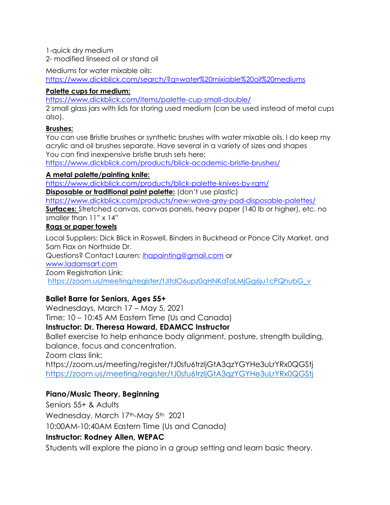1-quick dry medium

2- modified linseed oil or stand oil

Mediums for water mixable oils:

[https://www.dickblick.com/search/?q=water%20mixiable%20oil%20mediums](https://urldefense.proofpoint.com/v2/url?u=https-3A__www.dickblick.com_search_-3Fq-3Dwater-2520mixiable-2520oil-2520mediums&d=DwMFaQ&c=HPJvcKF4Kk5Wqru1T_u_fOsw8NVQVa3gp0ReMdlciXw&r=tkhPO6uEsLfgj1_6RkrM3R3ndoR61hkMsWnjNdPR3gs&m=7jLtoogtc3XVGkkgKtE3WAyudneFqmHIflBW6WWehgM&s=57FjU1vQdiSCrSp-lfReojE5-eBBUQ_W3lPk4smMwAo&e=)

# **Palette cups for medium:**

[https://www.dickblick.com/items/palette-cup-small-double/](https://urldefense.proofpoint.com/v2/url?u=https-3A__www.dickblick.com_items_palette-2Dcup-2Dsmall-2Ddouble_&d=DwMFaQ&c=HPJvcKF4Kk5Wqru1T_u_fOsw8NVQVa3gp0ReMdlciXw&r=tkhPO6uEsLfgj1_6RkrM3R3ndoR61hkMsWnjNdPR3gs&m=7jLtoogtc3XVGkkgKtE3WAyudneFqmHIflBW6WWehgM&s=lgnTIjJuQ89mQYRL9N-dcjit-8bPfriB4QC-gzC7fQg&e=)

2 small glass jars with lids for storing used medium (can be used instead of metal cups also).

# **Brushes:**

You can use Bristle brushes or synthetic brushes with water mixable oils. I do keep my acrylic and oil brushes separate. Have several in a variety of sizes and shapes You can find inexpensive bristle brush sets here:

[https://www.dickblick.com/products/blick-academic-bristle-brushes/](https://urldefense.proofpoint.com/v2/url?u=https-3A__www.dickblick.com_products_blick-2Dacademic-2Dbristle-2Dbrushes_&d=DwMFaQ&c=HPJvcKF4Kk5Wqru1T_u_fOsw8NVQVa3gp0ReMdlciXw&r=tkhPO6uEsLfgj1_6RkrM3R3ndoR61hkMsWnjNdPR3gs&m=7jLtoogtc3XVGkkgKtE3WAyudneFqmHIflBW6WWehgM&s=stlypH7ebFK9PfcNfrAMVPrwelmCpO9p9NrSlvbXOV4&e=)

# **A metal palette/painting knife:**

[https://www.dickblick.com/products/blick-palette-knives-by-rgm/](https://urldefense.proofpoint.com/v2/url?u=https-3A__www.dickblick.com_products_blick-2Dpalette-2Dknives-2Dby-2Drgm_&d=DwMFaQ&c=HPJvcKF4Kk5Wqru1T_u_fOsw8NVQVa3gp0ReMdlciXw&r=tkhPO6uEsLfgj1_6RkrM3R3ndoR61hkMsWnjNdPR3gs&m=7jLtoogtc3XVGkkgKtE3WAyudneFqmHIflBW6WWehgM&s=Xed5JTp349gGiRe3Ypju_nSiEixDeDWejST23kgY9nk&e=) **Disposable or traditional paint palette:** (don't use plastic)

[https://www.dickblick.com/products/new-wave-grey-pad-disposable-palettes/](https://urldefense.proofpoint.com/v2/url?u=https-3A__www.dickblick.com_products_new-2Dwave-2Dgrey-2Dpad-2Ddisposable-2Dpalettes_&d=DwMFaQ&c=HPJvcKF4Kk5Wqru1T_u_fOsw8NVQVa3gp0ReMdlciXw&r=tkhPO6uEsLfgj1_6RkrM3R3ndoR61hkMsWnjNdPR3gs&m=7jLtoogtc3XVGkkgKtE3WAyudneFqmHIflBW6WWehgM&s=Up4xCOqINnKaUoJs_krb8HZt4-gblepjarMhyTZBXGA&e=) **Surfaces:** Stretched canvas, canvas panels, heavy paper (140 lb or higher), etc. no smaller than 11" x 14"

# **Rags or paper towels**

Local Suppliers: Dick Blick in Roswell, Binders in Buckhead or Ponce City Market, and Sam Flax on Northside Dr. Questions? Contact Lauren: [lhapainting@gmail.com](mailto:lhapainting@gmail.com) or [www.ladamsart.com](https://urldefense.proofpoint.com/v2/url?u=http-3A__www.ladamsart.com&d=DwMFaQ&c=HPJvcKF4Kk5Wqru1T_u_fOsw8NVQVa3gp0ReMdlciXw&r=tkhPO6uEsLfgj1_6RkrM3R3ndoR61hkMsWnjNdPR3gs&m=7jLtoogtc3XVGkkgKtE3WAyudneFqmHIflBW6WWehgM&s=HFy8l8l-_zRA4vdXjMyr9G1qJSqm5-9YDvVBat3VAHU&e=) Zoom Registration Link: [https://zoom.us/meeting/register/tJItdO6upz0qHNKdTaLMjGg6ju1cPQhubG\\_v](https://zoom.us/meeting/register/tJItdO6upz0qHNKdTaLMjGg6ju1cPQhubG_v)

# **Ballet Barre for Seniors, Ages 55+**

Wednesdays, March 17 – May 5, 2021 Time: 10 – 10:45 AM Eastern Time (Us and Canada) **Instructor: Dr. Theresa Howard, EDAMCC Instructor** Ballet exercise to help enhance body alignment, posture, strength building, balance, focus and concentration. Zoom class link: https://zoom.us/meeting/register/tJ0sfu6trzIjGtA3qzYGYHe3uLrYRx0QGSt[j](https://zoom.us/meeting/register/tJ0sfu6trzIjGtA3qzYGYHe3uLrYRx0QGStj) <https://zoom.us/meeting/register/tJ0sfu6trzIjGtA3qzYGYHe3uLrYRx0QGStj>

# **Piano/Music Theory, Beginning**

Seniors 55+ & Adults Wednesday, March 17th-May 5th 2021 10:00AM-10:40AM Eastern Time (Us and Canada)

# **Instructor: Rodney Allen, WEPAC**

Students will explore the piano in a group setting and learn basic theory.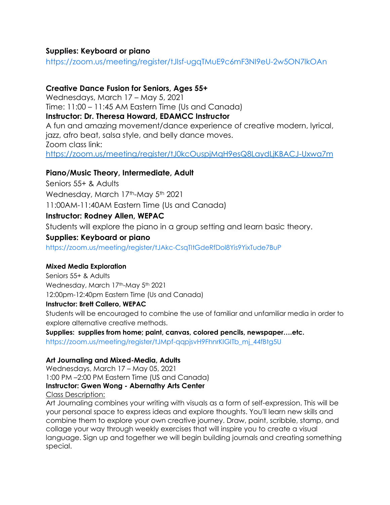# **Supplies: Keyboard or piano**

<https://zoom.us/meeting/register/tJIsf-ugqTMuE9c6mF3NI9eU-2w5ON7lkOAn>

# **Creative Dance Fusion for Seniors, Ages 55+**

Wednesdays, March 17 – May 5, 2021 Time: 11:00 – 11:45 AM Eastern Time (Us and Canada) **Instructor: Dr. Theresa Howard, EDAMCC Instructor** A fun and amazing movement/dance experience of creative modern, lyrical, jazz, afro beat, salsa style, and belly dance moves. Zoom class link[:](https://zoom.us/meeting/register/tJ0kcOuspjMqH9esQ8LaydLjKBACJ-Uxwa7m) <https://zoom.us/meeting/register/tJ0kcOuspjMqH9esQ8LaydLjKBACJ-Uxwa7m>

# **Piano/Music Theory, Intermediate, Adult**

Seniors 55+ & Adults Wednesday, March 17th-May 5th 2021 11:00AM-11:40AM Eastern Time (Us and Canada)

# **Instructor: Rodney Allen, WEPAC**

Students will explore the piano in a group setting and learn basic theory.

# **Supplies: Keyboard or piano**

<https://zoom.us/meeting/register/tJAkc-CsqTItGdeRfDol8Yis9YixTude7BuP>

# **Mixed Media Exploration**

Seniors 55+ & Adults Wednesday, March 17th-May 5th 2021 12:00pm-12:40pm Eastern Time (Us and Canada)

# **Instructor: Brett Callero, WEPAC**

Students will be encouraged to combine the use of familiar and unfamiliar media in order to explore alternative creative methods.

**Supplies: supplies from home; paint, canvas, colored pencils, newspaper….etc.**

[https://zoom.us/meeting/register/tJMpf-qqpjsvH9FhnrKIGITb\\_mj\\_44fBtg5U](https://zoom.us/meeting/register/tJMpf-qqpjsvH9FhnrKIGITb_mj_44fBtg5U)

# **Art Journaling and Mixed-Media, Adults**

Wednesdays, March 17 – May 05, 2021 1:00 PM –2:00 PM Eastern Time (US and Canada) **Instructor: Gwen Wong - Abernathy Arts Center** Class Description:

Art Journaling combines your writing with visuals as a form of self-expression. This will be your personal space to express ideas and explore thoughts. You'll learn new skills and combine them to explore your own creative journey. Draw, paint, scribble, stamp, and collage your way through weekly exercises that will inspire you to create a visual language. Sign up and together we will begin building journals and creating something special.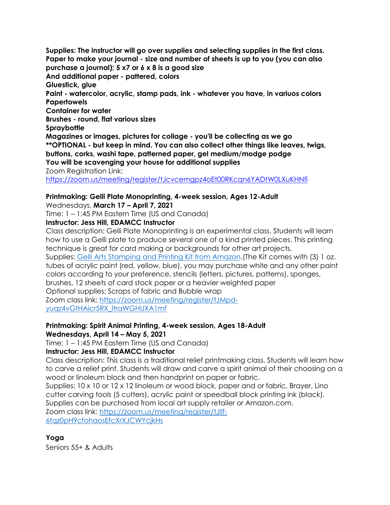**Supplies: The instructor will go over supplies and selecting supplies in the first class. Paper to make your journal - size and number of sheets is up to you (you can also purchase a journal); 5 x7 or 6 x 8 is a good size And additional paper - pattered, colors Gluestick, glue Paint - watercolor, acrylic, stamp pads, ink - whatever you have, in variuos colors Papertowels Container for water Brushes - round, flat various sizes Spraybottle Magazines or images, pictures for collage - you'll be collecting as we go \*\*OPTIONAL - but keep in mind. You can also collect other things like leaves, twigs, buttons, corks, washi tape, patterned paper, gel medium/modge podge You will be scavenging your house for additional supplies** Zoom Registration Link: <https://zoom.us/meeting/register/tJcvcemgpz4oEt00RKcqn6YADtW0LXuKHNfi>

# **Printmaking: Gelli Plate Monoprinting, 4-week session, Ages 12-Adult**

Wednesdays, **March 17 – April 7, 2021**

Time: 1 – 1:45 PM Eastern Time (US and Canada)

#### **Instructor: Jess Hill, EDAMCC Instructor**

Class description: Gelli Plate Monoprinting is an experimental class. Students will learn how to use a Gelli plate to produce several one of a kind printed pieces. This printing technique is great for card making or backgrounds for other art projects.

Supplies[:](https://www.amazon.com/Gelli-Arts-Stamping-Printing-Container/dp/B075NQWDRF/ref=sr_1_5?crid=2P8IQQSLF21LQ&dchild=1&keywords=gelli+plate+kit&qid=1613089167&sprefix=gelli+%2Caps%2C291&sr=8-5) [Gelli Arts Stamping and Printing Kit from Amazon.](https://www.amazon.com/Gelli-Arts-Stamping-Printing-Container/dp/B075NQWDRF/ref=sr_1_5?crid=2P8IQQSLF21LQ&dchild=1&keywords=gelli+plate+kit&qid=1613089167&sprefix=gelli+%2Caps%2C291&sr=8-5)(The Kit comes with (3) 1 oz. tubes of acrylic paint (red, yellow, blue), you may purchase white and any other paint colors according to your preference, stencils (letters, pictures, patterns), sponges,

brushes, 12 sheets of card stock paper or a heavier weighted paper

Optional supplies: Scraps of fabric and Bubble wrap

Zoom class link[:](https://zoom.us/meeting/register/tJMpd-yuqz4vGtHAicr5RX_ltraWGHUXA1mf) [https://zoom.us/meeting/register/tJMpd](https://zoom.us/meeting/register/tJMpd-yuqz4vGtHAicr5RX_ltraWGHUXA1mf)[yuqz4vGtHAicr5RX\\_ltraWGHUXA1mf](https://zoom.us/meeting/register/tJMpd-yuqz4vGtHAicr5RX_ltraWGHUXA1mf)

# **Printmaking: Spirit Animal Printing, 4-week session, Ages 18-Adult**

**Wednesdays, April 14 – May 5, 2021**

Time: 1 – 1:45 PM Eastern Time (US and Canada)

# **Instructor: Jess Hill, EDAMCC Instructor**

Class description: This class is a traditional relief printmaking class. Students will learn how to carve a relief print. Students will draw and carve a spirit animal of their choosing on a wood or linoleum block and then handprint on paper or fabric.

Supplies: 10 x 10 or 12 x 12 linoleum or wood block, paper and or fabric, Brayer, Lino cutter carving tools (5 cutters), acrylic paint or speedball block printing ink (black).

Supplies can be purchased from local art supply retailer or Amazon.com.

Zoom class link[:](https://zoom.us/meeting/register/tJIlf-6tqz0pH9cfohaosEfcXrXJCWYcjkHs) [https://zoom.us/meeting/register/tJIlf-](https://zoom.us/meeting/register/tJIlf-6tqz0pH9cfohaosEfcXrXJCWYcjkHs)[6tqz0pH9cfohaosEfcXrXJCWYcjkHs](https://zoom.us/meeting/register/tJIlf-6tqz0pH9cfohaosEfcXrXJCWYcjkHs)

# **Yoga**

Seniors 55+ & Adults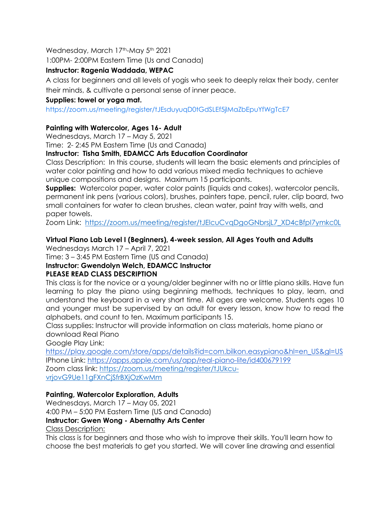Wednesday, March 17th-May 5th 2021

1:00PM- 2:00PM Eastern Time (Us and Canada)

# **Instructor: Ragenia Waddada, WEPAC**

A class for beginners and all levels of yogis who seek to deeply relax their body, center their minds, & cultivate a personal sense of inner peace.

# **Supplies: towel or yoga mat.**

<https://zoom.us/meeting/register/tJEsduyuqD0tGdSLEf5jlMaZbEpuYfWgTcE7>

# **Painting with Watercolor, Ages 16- Adult**

Wednesdays, March 17 – May 5, 2021

Time: 2- 2:45 PM Eastern Time (Us and Canada)

# **Instructor: Tisha Smith, EDAMCC Arts Education Coordinator**

Class Description: In this course, students will learn the basic elements and principles of water color painting and how to add various mixed media techniques to achieve unique compositions and designs. Maximum 15 participants.

**Supplies:** Watercolor paper, water color paints (liquids and cakes), watercolor pencils, permanent ink pens (various colors), brushes, painters tape, pencil, ruler, clip board, two small containers for water to clean brushes, clean water, paint tray with wells, and paper towels.

Zoom Link: [https://zoom.us/meeting/register/tJElcuCvqDgoGNbrsjL7\\_XD4cBfpI7ymkc0L](https://zoom.us/meeting/register/tJElcuCvqDgoGNbrsjL7_XD4cBfpI7ymkc0L)

# **Virtual Piano Lab Level I (Beginners), 4-week session, All Ages Youth and Adults**

Wednesdays March 17 – April 7, 2021 Time: 3 – 3:45 PM Eastern Time (US and Canada) **Instructor: Gwendolyn Welch, EDAMCC Instructor**

# **PLEASE READ CLASS DESCRIPTION**

This class is for the novice or a young/older beginner with no or little piano skills. Have fun learning to play the piano using beginning methods, techniques to play, learn, and understand the keyboard in a very short time. All ages are welcome. Students ages 10 and younger must be supervised by an adult for every lesson, know how to read the alphabets, and count to ten. Maximum participants 15.

Class supplies: Instructor will provide information on class materials, home piano or download Real Piano

Google Play Link[:](https://play.google.com/store/apps/details?id=com.bilkon.easypiano&hl=en_US&gl=US)

[https://play.google.com/store/apps/details?id=com.bilkon.easypiano&hl=en\\_US&gl=US](https://play.google.com/store/apps/details?id=com.bilkon.easypiano&hl=en_US&gl=US) IPhone Link: <https://apps.apple.com/us/app/real-piano-lite/id400679199> Zoom class link[:](https://zoom.us/meeting/register/tJUkcu-vrjovG9Ue11gFXnCjSfrBXjOzKwMm) [https://zoom.us/meeting/register/tJUkcu](https://zoom.us/meeting/register/tJUkcu-vrjovG9Ue11gFXnCjSfrBXjOzKwMm)[vrjovG9Ue11gFXnCjSfrBXjOzKwMm](https://zoom.us/meeting/register/tJUkcu-vrjovG9Ue11gFXnCjSfrBXjOzKwMm)

# **Painting, Watercolor Exploration, Adults**

Wednesdays, March 17 – May 05, 2021 4:00 PM – 5:00 PM Eastern Time (US and Canada) **Instructor: Gwen Wong - Abernathy Arts Center** Class Description:

This class is for beginners and those who wish to improve their skills. You'll learn how to choose the best materials to get you started. We will cover line drawing and essential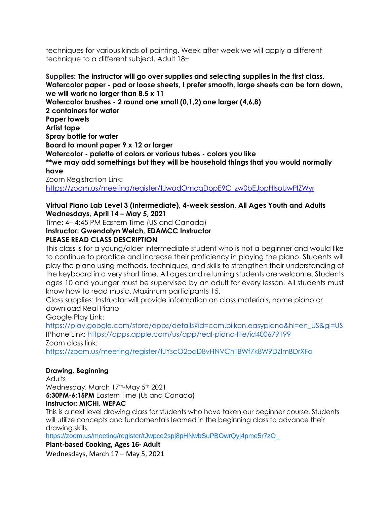techniques for various kinds of painting. Week after week we will apply a different technique to a different subject. Adult 18+

**Supplies: The instructor will go over supplies and selecting supplies in the first class. Watercolor paper - pad or loose sheets, I prefer smooth, large sheets can be torn down, we will work no larger than 8.5 x 11 Watercolor brushes - 2 round one small (0,1,2) one larger (4,6,8) 2 containers for water Paper towels Artist tape Spray bottle for water Board to mount paper 9 x 12 or larger Watercolor - palette of colors or various tubes - colors you like \*\*we may add somethings but they will be household things that you would normally have**

Zoom Registration Link: [https://zoom.us/meeting/register/tJwodOmoqDopE9C\\_zw0bEJppHlsoUwPIZWyr](https://zoom.us/meeting/register/tJwodOmoqDopE9C_zw0bEJppHlsoUwPIZWyr)

#### **Virtual Piano Lab Level 3 (Intermediate), 4-week session, All Ages Youth and Adults Wednesdays, April 14 – May 5, 2021**

Time: 4– 4:45 PM Eastern Time (US and Canada)

# **Instructor: Gwendolyn Welch, EDAMCC Instructor**

# **PLEASE READ CLASS DESCRIPTION**

This class is for a young/older intermediate student who is not a beginner and would like to continue to practice and increase their proficiency in playing the piano. Students will play the piano using methods, techniques, and skills to strengthen their understanding of the keyboard in a very short time. All ages and returning students are welcome. Students ages 10 and younger must be supervised by an adult for every lesson. All students must know how to read music. Maximum participants 15.

Class supplies: Instructor will provide information on class materials, home piano or download Real Piano

Google Play Link[:](https://play.google.com/store/apps/details?id=com.bilkon.easypiano&hl=en_US&gl=US)

[https://play.google.com/store/apps/details?id=com.bilkon.easypiano&hl=en\\_US&gl=US](https://play.google.com/store/apps/details?id=com.bilkon.easypiano&hl=en_US&gl=US) IPhone Link: <https://apps.apple.com/us/app/real-piano-lite/id400679199> Zoom class link[:](https://zoom.us/meeting/register/tJYscO2oqD8vHNVChTBWf7k8W9DZlmBDrXFo)

<https://zoom.us/meeting/register/tJYscO2oqD8vHNVChTBWf7k8W9DZlmBDrXFo>

# **Drawing, Beginning**

**Adults** 

Wednesday, March 17th-May 5th 2021

**5:30PM-6:15PM** Eastern Time (Us and Canada)

# **Instructor: MICHI, WEPAC**

This is a next level drawing class for students who have taken our beginner course. Students will utilize concepts and fundamentals learned in the beginning class to advance their drawing skills.

[https://zoom.us/meeting/register/tJwpce2spj8pHNwbSuPBOwrQyj4pme5r7zO\\_](https://zoom.us/meeting/register/tJwpce2spj8pHNwbSuPBOwrQyj4pme5r7zO_)

**Plant-based Cooking, Ages 16- Adult**

Wednesdays, March 17 – May 5, 2021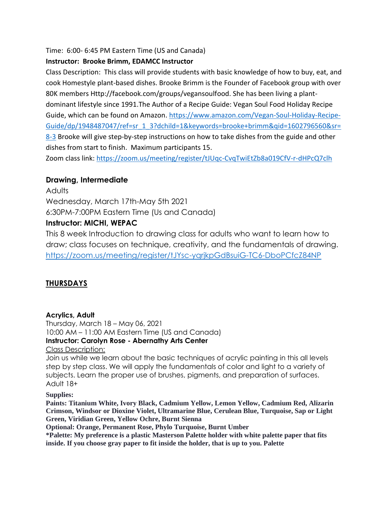Time: 6:00- 6:45 PM Eastern Time (US and Canada)

# **Instructor: Brooke Brimm, EDAMCC Instructor**

Class Description: This class will provide students with basic knowledge of how to buy, eat, and cook Homestyle plant-based dishes. Brooke Brimm is the Founder of Facebook group with over 80K members Http://facebook.com/groups/vegansoulfood. She has been living a plantdominant lifestyle since 1991.The Author of a Recipe Guide: Vegan Soul Food Holiday Recipe Guide, which can be found on Amazon. [https://www.amazon.com/Vegan-Soul-Holiday-Recipe-](https://webmail.fultoncountyga.gov/owa/redir.aspx?REF=AMZyojpWaN0Eca6IhcEhvr6r5eWuUIs3Ph-krAmV6u4r4fWNb4rYCAFodHRwczovL3VybGRlZmVuc2UucHJvb2Zwb2ludC5jb20vdjIvdXJsP3U9aHR0cHMtM0FfX3d3dy5hbWF6b24uY29tX1ZlZ2FuLTJEU291bC0yREhvbGlkYXktMkRSZWNpcGUtMkRHdWlkZV9kcF8xOTQ4NDg3MDQ3X3JlZi0zRHNyLTVGMS01RjMtM0ZkY2hpbGQtM0QxLTI2a2V5d29yZHMtM0Ricm9va2UtMkJicmltbS0yNnFpZC0zRDE2MDI3OTY1NjAtMjZzci0zRDgtMkQzJmQ9RHdRR2FRJmM9SFBKdmNLRjRLazVXcXJ1MVRfdV9mT3N3OE5WUVZhM2dwMFJlTWRsY2lYdyZyPW1yQmF4N09KLVU3cHlHTXgyaE95OTF5dEsxSk1QdUlJOFhkbFRuS1pKWG8mbT1lZVYycmpqaGhEYXNLNHZPUlVNQ3hlRDBhbHhkc3VobDhSTFNmQkM0QWJJJnM9X09RWlhzSWc0Y05zREVYTHowNW14X2NsR3JmTHR2ZnhxUDdZbWMya0k3TSZlPQ..)[Guide/dp/1948487047/ref=sr\\_1\\_3?dchild=1&keywords=brooke+brimm&qid=1602796560&sr=](https://webmail.fultoncountyga.gov/owa/redir.aspx?REF=AMZyojpWaN0Eca6IhcEhvr6r5eWuUIs3Ph-krAmV6u4r4fWNb4rYCAFodHRwczovL3VybGRlZmVuc2UucHJvb2Zwb2ludC5jb20vdjIvdXJsP3U9aHR0cHMtM0FfX3d3dy5hbWF6b24uY29tX1ZlZ2FuLTJEU291bC0yREhvbGlkYXktMkRSZWNpcGUtMkRHdWlkZV9kcF8xOTQ4NDg3MDQ3X3JlZi0zRHNyLTVGMS01RjMtM0ZkY2hpbGQtM0QxLTI2a2V5d29yZHMtM0Ricm9va2UtMkJicmltbS0yNnFpZC0zRDE2MDI3OTY1NjAtMjZzci0zRDgtMkQzJmQ9RHdRR2FRJmM9SFBKdmNLRjRLazVXcXJ1MVRfdV9mT3N3OE5WUVZhM2dwMFJlTWRsY2lYdyZyPW1yQmF4N09KLVU3cHlHTXgyaE95OTF5dEsxSk1QdUlJOFhkbFRuS1pKWG8mbT1lZVYycmpqaGhEYXNLNHZPUlVNQ3hlRDBhbHhkc3VobDhSTFNmQkM0QWJJJnM9X09RWlhzSWc0Y05zREVYTHowNW14X2NsR3JmTHR2ZnhxUDdZbWMya0k3TSZlPQ..) [8-3](https://webmail.fultoncountyga.gov/owa/redir.aspx?REF=AMZyojpWaN0Eca6IhcEhvr6r5eWuUIs3Ph-krAmV6u4r4fWNb4rYCAFodHRwczovL3VybGRlZmVuc2UucHJvb2Zwb2ludC5jb20vdjIvdXJsP3U9aHR0cHMtM0FfX3d3dy5hbWF6b24uY29tX1ZlZ2FuLTJEU291bC0yREhvbGlkYXktMkRSZWNpcGUtMkRHdWlkZV9kcF8xOTQ4NDg3MDQ3X3JlZi0zRHNyLTVGMS01RjMtM0ZkY2hpbGQtM0QxLTI2a2V5d29yZHMtM0Ricm9va2UtMkJicmltbS0yNnFpZC0zRDE2MDI3OTY1NjAtMjZzci0zRDgtMkQzJmQ9RHdRR2FRJmM9SFBKdmNLRjRLazVXcXJ1MVRfdV9mT3N3OE5WUVZhM2dwMFJlTWRsY2lYdyZyPW1yQmF4N09KLVU3cHlHTXgyaE95OTF5dEsxSk1QdUlJOFhkbFRuS1pKWG8mbT1lZVYycmpqaGhEYXNLNHZPUlVNQ3hlRDBhbHhkc3VobDhSTFNmQkM0QWJJJnM9X09RWlhzSWc0Y05zREVYTHowNW14X2NsR3JmTHR2ZnhxUDdZbWMya0k3TSZlPQ..) Brooke will give step-by-step instructions on how to take dishes from the guide and other dishes from start to finish. Maximum participants 15.

Zoom class link[:](https://zoom.us/meeting/register/tJUqc-CvqTwiEtZb8a019CfV-r-dHPcQ7clh) <https://zoom.us/meeting/register/tJUqc-CvqTwiEtZb8a019CfV-r-dHPcQ7clh>

# **Drawing, Intermediate**

**Adults** Wednesday, March 17th-May 5th 2021 6:30PM-7:00PM Eastern Time (Us and Canada) **Instructor: MICHI, WEPAC**

This 8 week Introduction to drawing class for adults who want to learn how to draw; class focuses on technique, creativity, and the fundamentals of drawing. https://zoom.us/meeting/register/tJYsc-yqrjkpGdBsuiG-TC6-DboPCfcZ84NP

# **THURSDAYS**

# **Acrylics, Adult**

Thursday, March 18 – May 06, 2021 10:00 AM – 11:00 AM Eastern Time (US and Canada) **Instructor: Carolyn Rose - Abernathy Arts Center**

Class Description:

Join us while we learn about the basic techniques of acrylic painting in this all levels step by step class. We will apply the fundamentals of color and light to a variety of subjects. Learn the proper use of brushes, pigments, and preparation of surfaces. Adult 18+

#### **Supplies:**

**Paints: Titanium White, Ivory Black, Cadmium Yellow, Lemon Yellow, Cadmium Red, Alizarin Crimson, Windsor or Dioxine Violet, Ultramarine Blue, Cerulean Blue, Turquoise, Sap or Light Green, Viridian Green, Yellow Ochre, Burnt Sienna**

**Optional: Orange, Permanent Rose, Phylo Turquoise, Burnt Umber**

**\*Palette: My preference is a plastic Masterson Palette holder with white palette paper that fits inside. If you choose gray paper to fit inside the holder, that is up to you. Palette**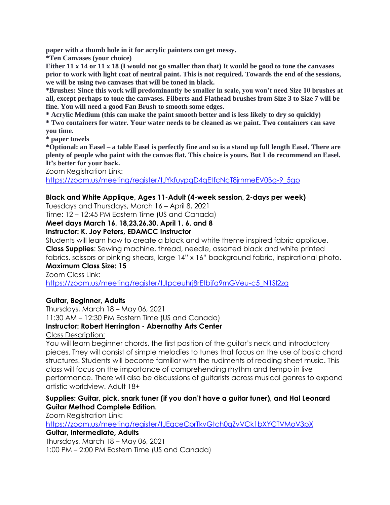**paper with a thumb hole in it for acrylic painters can get messy.**

**\*Ten Canvases (your choice)**

**Either 11 x 14 or 11 x 18 (I would not go smaller than that) It would be good to tone the canvases prior to work with light coat of neutral paint. This is not required. Towards the end of the sessions, we will be using two canvases that will be toned in black.**

**\*Brushes: Since this work will predominantly be smaller in scale, you won't need Size 10 brushes at all, except perhaps to tone the canvases. Filberts and Flathead brushes from Size 3 to Size 7 will be fine. You will need a good Fan Brush to smooth some edges.**

**\* Acrylic Medium (this can make the paint smooth better and is less likely to dry so quickly)**

**\* Two containers for water. Your water needs to be cleaned as we paint. Two containers can save you time.**

**\* paper towels**

**\*Optional: an Easel – a table Easel is perfectly fine and so is a stand up full length Easel. There are plenty of people who paint with the canvas flat. This choice is yours. But I do recommend an Easel. It's better for your back.**

Zoom Registration Link:

[https://zoom.us/meeting/register/tJYkfuypqD4qEtfcNcT8jrnmeEV0Bg-9\\_5gp](https://zoom.us/meeting/register/tJYkfuypqD4qEtfcNcT8jrnmeEV0Bg-9_5gp)

# **Black and White Applique, Ages 11-Adult (4-week session, 2-days per week)**

Tuesdays and Thursdays, March 16 – April 8, 2021

Time: 12 – 12:45 PM Eastern Time (US and Canada)

**Meet days March 16, 18,23,26,30, April 1, 6, and 8**

#### **Instructor: K. Joy Peters, EDAMCC Instructor**

Students will learn how to create a black and white theme inspired fabric applique. **Class Supplies**: Sewing machine, thread, needle, assorted black and white printed fabrics, scissors or pinking shears, large 14" x 16" background fabric, inspirational photo.

# **Maximum Class Size: 15**

Zoom Class Link:

[https://zoom.us/meeting/register/tJIpceuhrj8rEtbjfq9rnGVeu-c5\\_N1Sl2zg](https://zoom.us/meeting/register/tJIpceuhrj8rEtbjfq9rnGVeu-c5_N1Sl2zg)

# **Guitar, Beginner, Adults**

Thursdays, March 18 – May 06, 2021 11:30 AM – 12:30 PM Eastern Time (US and Canada)

# **Instructor: Robert Herrington - Abernathy Arts Center**

Class Description:

You will learn beginner chords, the first position of the guitar's neck and introductory pieces. They will consist of simple melodies to tunes that focus on the use of basic chord structures. Students will become familiar with the rudiments of reading sheet music. This class will focus on the importance of comprehending rhythm and tempo in live performance. There will also be discussions of guitarists across musical genres to expand artistic worldview. Adult 18+

# **Supplies: Guitar, pick, snark tuner (if you don't have a guitar tuner), and Hal Leonard Guitar Method Complete Edition.**

Zoom Registration Link:

<https://zoom.us/meeting/register/tJEqceCprTkvGtch0qZvVCk1bXYCTVMoV3pX>

#### **Guitar, Intermediate, Adults**

Thursdays, March 18 – May 06, 2021 1:00 PM – 2:00 PM Eastern Time (US and Canada)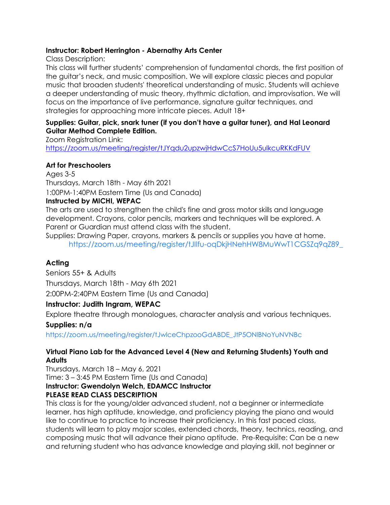#### **Instructor: Robert Herrington - Abernathy Arts Center**

Class Description:

This class will further students' comprehension of fundamental chords, the first position of the guitar's neck, and music composition. We will explore classic pieces and popular music that broaden students' theoretical understanding of music. Students will achieve a deeper understanding of music theory, rhythmic dictation, and improvisation. We will focus on the importance of live performance, signature guitar techniques, and strategies for approaching more intricate pieces. Adult 18+

#### **Supplies: Guitar, pick, snark tuner (if you don't have a guitar tuner), and Hal Leonard Guitar Method Complete Edition.**

Zoom Registration Link: <https://zoom.us/meeting/register/tJYqdu2upzwjHdwCcS7HoUu5ulkcuRKKdFUV>

# **Art for Preschoolers**

Ages 3-5 Thursdays, March 18th - May 6th 2021 1:00PM-1:40PM Eastern Time (Us and Canada)

# **Instructed by MICHI, WEPAC**

The arts are used to strengthen the child's fine and gross motor skills and language development. Crayons, color pencils, markers and techniques will be explored. A Parent or Guardian must attend class with the student.

Supplies: Drawing Paper, crayons, markers & pencils or supplies you have at home. [https://zoom.us/meeting/register/tJIlfu-oqDkjHNehHW8MuWwT1CGSZq9qZ89\\_](https://zoom.us/meeting/register/tJIlfu-oqDkjHNehHW8MuWwT1CGSZq9qZ89_)

# **Acting**

Seniors 55+ & Adults Thursdays, March 18th - May 6th 2021 2:00PM-2:40PM Eastern Time (Us and Canada)

# **Instructor: Judith Ingram, WEPAC**

Explore theatre through monologues, character analysis and various techniques.

# **Supplies: n/a**

[https://zoom.us/meeting/register/tJwlceChpzooGdABDE\\_JtP5ONlBNoYuNVNBc](https://zoom.us/meeting/register/tJwlceChpzooGdABDE_JtP5ONlBNoYuNVNBc)

# **Virtual Piano Lab for the Advanced Level 4 (New and Returning Students) Youth and Adults**

Thursdays, March 18 – May 6, 2021 Time: 3 – 3:45 PM Eastern Time (Us and Canada) **Instructor: Gwendolyn Welch, EDAMCC Instructor PLEASE READ CLASS DESCRIPTION**

This class is for the young/older advanced student, not a beginner or intermediate learner, has high aptitude, knowledge, and proficiency playing the piano and would like to continue to practice to increase their proficiency. In this fast paced class, students will learn to play major scales, extended chords, theory, technics, reading, and composing music that will advance their piano aptitude. Pre-Requisite: Can be a new and returning student who has advance knowledge and playing skill, not beginner or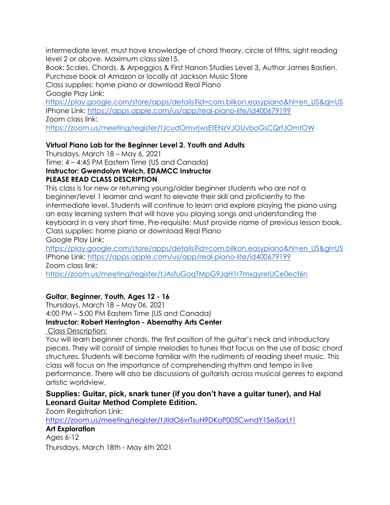intermediate level, must have knowledge of chord theory, circle of fifths, sight reading level 2 or above. Maximum class size15.

Book: Scales, Chords, & Arpeggios & First Hanon Studies Level 3, Author James Bastien. Purchase book at Amazon or locally at Jackson Music Store

Class supplies: home piano or download Real Piano Google Play Link[:](https://play.google.com/store/apps/details?id=com.bilkon.easypiano&hl=en_US&gl=US)

[https://play.google.com/store/apps/details?id=com.bilkon.easypiano&hl=en\\_US&gl=US](https://play.google.com/store/apps/details?id=com.bilkon.easypiano&hl=en_US&gl=US) IPhone Link: <https://apps.apple.com/us/app/real-piano-lite/id400679199> Zoom class link[:](https://zoom.us/meeting/register/tJcudOmvrjwsEtENzVJOUvboGsCQrfJOmtOW)

<https://zoom.us/meeting/register/tJcudOmvrjwsEtENzVJOUvboGsCQrfJOmtOW>

# **Virtual Piano Lab for the Beginner Level 2. Youth and Adults**

Thursdays, March 18 – May 6, 2021 Time: 4 – 4:45 PM Eastern Time (US and Canada) **Instructor: Gwendolyn Welch, EDAMCC Instructor PLEASE READ CLASS DESCRIPTION**

This class is for new or returning young/older beginner students who are not a beginner/level 1 learner and want to elevate their skill and proficiently to the intermediate level. Students will continue to learn and explore playing the piano using an easy learning system that will have you playing songs and understanding the keyboard in a very short time. Pre-requisite: Must provide name of previous lesson book. Class supplies: home piano or download Real Piano

Google Play Link[:](https://play.google.com/store/apps/details?id=com.bilkon.easypiano&hl=en_US&gl=US)

[https://play.google.com/store/apps/details?id=com.bilkon.easypiano&hl=en\\_US&gl=US](https://play.google.com/store/apps/details?id=com.bilkon.easypiano&hl=en_US&gl=US) IPhone Link: <https://apps.apple.com/us/app/real-piano-lite/id400679199> Zoom class link[:](https://zoom.us/meeting/register/tJAsfuGoqTMpG9JqH1r7mxgyreIUCe0ecf6n)

<https://zoom.us/meeting/register/tJAsfuGoqTMpG9JqH1r7mxgyreIUCe0ecf6n>

# **Guitar, Beginner, Youth, Ages 12 - 16**

Thursdays, March 18 – May 06, 2021 4:00 PM – 5:00 PM Eastern Time (US and Canada) **Instructor: Robert Herrington - Abernathy Arts Center**

Class Description:

You will learn beginner chords, the first position of the guitar's neck and introductory pieces. They will consist of simple melodies to tunes that focus on the use of basic chord structures. Students will become familiar with the rudiments of reading sheet music. This class will focus on the importance of comprehending rhythm and tempo in live performance. There will also be discussions of guitarists across musical genres to expand artistic worldview.

# **Supplies: Guitar, pick, snark tuner (if you don't have a guitar tuner), and Hal Leonard Guitar Method Complete Edition.**

Zoom Registration Link:

<https://zoom.us/meeting/register/tJIldO6vrTsuH9DKoP005CwndY1SeiSarLt1>

**Art Exploration**  Ages 6-12 Thursdays, March 18th - May 6th 2021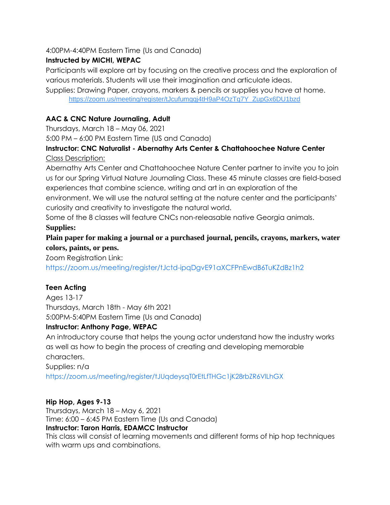# 4:00PM-4:40PM Eastern Time (Us and Canada)

# **Instructed by MICHI, WEPAC**

Participants will explore art by focusing on the creative process and the exploration of various materials. Students will use their imagination and articulate ideas.

Supplies: Drawing Paper, crayons, markers & pencils or supplies you have at home. [https://zoom.us/meeting/register/tJcufumgqj4tH9aP4OzTq7Y\\_ZupGx6DU1bzd](https://zoom.us/meeting/register/tJcufumgqj4tH9aP4OzTq7Y_ZupGx6DU1bzd)

# **AAC & CNC Nature Journaling, Adult**

Thursdays, March 18 – May 06, 2021

5:00 PM – 6:00 PM Eastern Time (US and Canada)

# **Instructor: CNC Naturalist - Abernathy Arts Center & Chattahoochee Nature Center** Class Description:

Abernathy Arts Center and Chattahoochee Nature Center partner to invite you to join us for our Spring Virtual Nature Journaling Class. These 45 minute classes are field-based experiences that combine science, writing and art in an exploration of the

environment. We will use the natural setting at the nature center and the participants' curiosity and creativity to investigate the natural world.

Some of the 8 classes will feature CNCs non-releasable native Georgia animals.

# **Supplies:**

**Plain paper for making a journal or a purchased journal, pencils, crayons, markers, water colors, paints, or pens.** 

Zoom Registration Link:

<https://zoom.us/meeting/register/tJctd-ipqDgvE91aXCFPnEwdB6TuKZdBz1h2>

# **Teen Acting**

Ages 13-17 Thursdays, March 18th - May 6th 2021 5:00PM-5:40PM Eastern Time (Us and Canada)

# **Instructor: Anthony Page, WEPAC**

An introductory course that helps the young actor understand how the industry works as well as how to begin the process of creating and developing memorable characters.

Supplies: n/a

<https://zoom.us/meeting/register/tJUqdeysqT0rEtLfTHGc1jK28rbZR6VlLhGX>

# **Hip Hop, Ages 9-13**

Thursdays, March 18 – May 6, 2021 Time: 6:00 – 6:45 PM Eastern Time (Us and Canada) **Instructor: Taron Harris, EDAMCC Instructor**

This class will consist of learning movements and different forms of hip hop techniques with warm ups and combinations.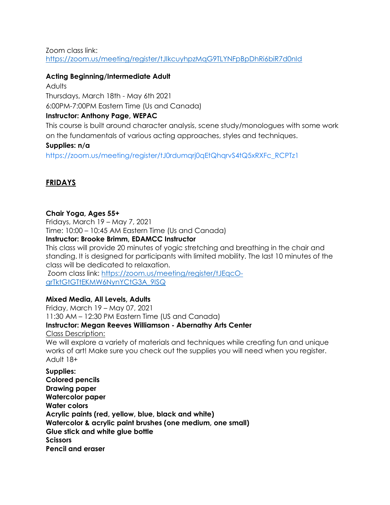Zoom class link[:](https://zoom.us/meeting/register/tJIkcuyhpzMqG9TLYNFpBpDhRi6biR7d0nId) <https://zoom.us/meeting/register/tJIkcuyhpzMqG9TLYNFpBpDhRi6biR7d0nId>

# **Acting Beginning/Intermediate Adult**

Adults Thursdays, March 18th - May 6th 2021 6:00PM-7:00PM Eastern Time (Us and Canada)

# **Instructor: Anthony Page, WEPAC**

This course is built around character analysis, scene study/monologues with some work on the fundamentals of various acting approaches, styles and techniques.

# **Supplies: n/a**

[https://zoom.us/meeting/register/tJ0rdumqrj0qEtQhqrvS4tQ5xRXFc\\_RCPTz1](https://zoom.us/meeting/register/tJ0rdumqrj0qEtQhqrvS4tQ5xRXFc_RCPTz1)

# **FRIDAYS**

# **Chair Yoga, Ages 55+**

Fridays, March 19 – May 7, 2021 Time: 10:00 – 10:45 AM Eastern Time (Us and Canada)

# **Instructor: Brooke Brimm, EDAMCC Instructor**

This class will provide 20 minutes of yogic stretching and breathing in the chair and standing. It is designed for participants with limited mobility. The last 10 minutes of the class will be dedicated to relaxation.

Zoom class link[:](https://zoom.us/meeting/register/tJEqcO-grTktGtGTtEKMW6NynYCtG3A_9ISQ) [https://zoom.us/meeting/register/tJEqcO](https://zoom.us/meeting/register/tJEqcO-grTktGtGTtEKMW6NynYCtG3A_9ISQ)[grTktGtGTtEKMW6NynYCtG3A\\_9ISQ](https://zoom.us/meeting/register/tJEqcO-grTktGtGTtEKMW6NynYCtG3A_9ISQ)

# **Mixed Media, All Levels, Adults**

Friday, March 19 – May 07, 2021 11:30 AM – 12:30 PM Eastern Time (US and Canada) **Instructor: Megan Reeves Williamson - Abernathy Arts Center** Class Description: We will explore a variety of materials and techniques while creating fun and unique works of art! Make sure you check out the supplies you will need when you register. Adult 18+

**Supplies: Colored pencils Drawing paper Watercolor paper Water colors Acrylic paints (red, yellow, blue, black and white) Watercolor & acrylic paint brushes (one medium, one small) Glue stick and white glue bottle Scissors Pencil and eraser**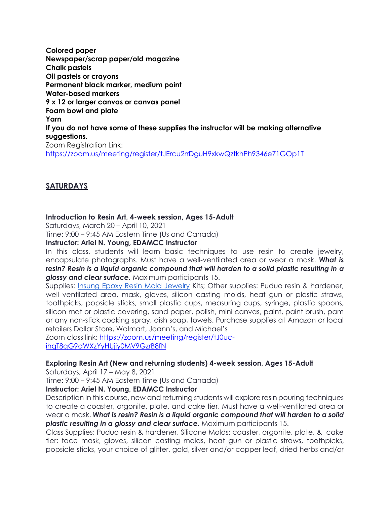**Colored paper Newspaper/scrap paper/old magazine Chalk pastels Oil pastels or crayons Permanent black marker, medium point Water-based markers 9 x 12 or larger canvas or canvas panel Foam bowl and plate Yarn If you do not have some of these supplies the instructor will be making alternative suggestions.** Zoom Registration Link: <https://zoom.us/meeting/register/tJErcu2rrDguH9xkwQztkhPh9346e71GOp1T>

# **SATURDAYS**

#### **Introduction to Resin Art, 4-week session, Ages 15-Adult**

Saturdays, March 20 – April 10, 2021

Time: 9:00 – 9:45 AM Eastern Time (Us and Canada)

**Instructor: Ariel N. Young, EDAMCC Instructor**

In this class, students will learn basic techniques to use resin to create jewelry, encapsulate photographs. Must have a well-ventilated area or wear a mask. *What is resin? Resin is a liquid organic compound that will harden to a solid plastic resulting in a glossy and clear surface.* Maximum participants 15.

Supplies: [Insung Epoxy Resin Mold Jewelry](https://www.amazon.com/dp/B08BZ7DXT1/ref=sspa_dk_detail_2?psc=1&pd_rd_i=B08BZ7DXT1&pd_rd_w=ZakbE&pf_rd_p=4269e1a0-a218-4fbd-9748-1cd337d2f2a5&pd_rd_wg=33QYe&pf_rd_r=EAHQ2V53P2GGWJ7WZ21D&pd_rd_r=f4811239-2008-4fb7-b2c6-42cdc02d8122&spLa=ZW5jcnlwdGVkUXVhbGlmaWVyPUExS1hCV1lKV1daN1EzJmVuY3J5cHRlZElkPUEwOTA1MzIwM045RkMzTzRSQTAwRyZlbmNyeXB0ZWRBZElkPUEwMDg4ODA5MUZFOUE3SjRYSlQ2MSZ3aWRnZXROYW1lPXNwX2RldGFpbCZhY3Rpb249Y2xpY2tSZWRpcmVjdCZkb05vdExvZ0NsaWNrPXRydWU) Kits; Other supplies: Puduo resin & hardener, well ventilated area, mask, gloves, silicon casting molds, heat gun or plastic straws, toothpicks, popsicle sticks, small plastic cups, measuring cups, syringe, plastic spoons, silicon mat or plastic covering, sand paper, polish, mini canvas, paint, paint brush, pam or any non-stick cooking spray, dish soap, towels. Purchase supplies at Amazon or local retailers Dollar Store, Walmart, Joann's, and Michael's

Zoom class link[:](https://zoom.us/meeting/register/tJ0uc-ihqT8qG9dWXzYyHUjjy0MV9GzrB8fN) [https://zoom.us/meeting/register/tJ0uc](https://zoom.us/meeting/register/tJ0uc-ihqT8qG9dWXzYyHUjjy0MV9GzrB8fN)[ihqT8qG9dWXzYyHUjjy0MV9GzrB8fN](https://zoom.us/meeting/register/tJ0uc-ihqT8qG9dWXzYyHUjjy0MV9GzrB8fN)

# **Exploring Resin Art (New and returning students) 4-week session, Ages 15-Adult**

Saturdays, April 17 – May 8, 2021

Time: 9:00 – 9:45 AM Eastern Time (Us and Canada)

# **Instructor: Ariel N. Young, EDAMCC Instructor**

Description In this course, new and returning students will explore resin pouring techniques to create a coaster, orgonite, plate, and cake tier. Must have a well-ventilated area or wear a mask. *What is resin? Resin is a liquid organic compound that will harden to a solid plastic resulting in a glossy and clear surface.* Maximum participants 15.

Class Supplies: Puduo resin & hardener, Silicone Molds: coaster, orgonite, plate, & cake tier; face mask, gloves, silicon casting molds, heat gun or plastic straws, toothpicks, popsicle sticks, your choice of glitter, gold, silver and/or copper leaf, dried herbs and/or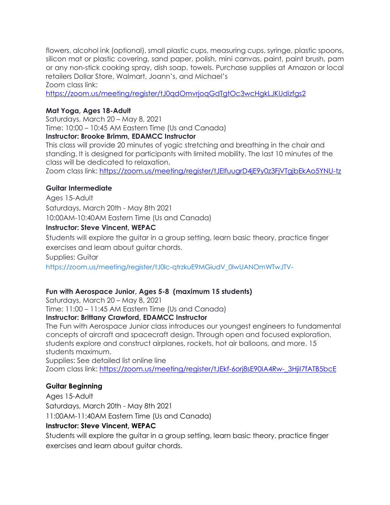flowers, alcohol ink (optional), small plastic cups, measuring cups, syringe, plastic spoons, silicon mat or plastic covering, sand paper, polish, mini canvas, paint, paint brush, pam or any non-stick cooking spray, dish soap, towels. Purchase supplies at Amazon or local retailers Dollar Store, Walmart, Joann's, and Michael's Zoom class link[:](https://zoom.us/meeting/register/tJ0qdOmvrjoqGdTgtOc3wcHgkLJKUdizfgs2)

<https://zoom.us/meeting/register/tJ0qdOmvrjoqGdTgtOc3wcHgkLJKUdizfgs2>

# **Mat Yoga, Ages 18-Adult**

Saturdays, March 20 – May 8, 2021 Time: 10:00 – 10:45 AM Eastern Time (Us and Canada)

**Instructor: Brooke Brimm, EDAMCC Instructor**

This class will provide 20 minutes of yogic stretching and breathing in the chair and standing. It is designed for participants with limited mobility. The last 10 minutes of the class will be dedicated to relaxation.

Zoom class link[:](https://zoom.us/meeting/register/tJElfuugrD4jE9y0z3FjVTgjbEkAo5YNU-tz) <https://zoom.us/meeting/register/tJElfuugrD4jE9y0z3FjVTgjbEkAo5YNU-tz>

# **Guitar Intermediate**

Ages 15-Adult Saturdays, March 20th - May 8th 2021 10:00AM-10:40AM Eastern Time (Us and Canada)

# **Instructor: Steve Vincent, WEPAC**

Students will explore the guitar in a group setting, learn basic theory, practice finger exercises and learn about guitar chords.

Supplies: Guitar

[https://zoom.us/meeting/register/tJ0lc-qtrzkuE9MGiudV\\_0lwUANOmWTwJTV-](https://zoom.us/meeting/register/tJ0lc-qtrzkuE9MGiudV_0lwUANOmWTwJTV-)

# **Fun with Aerospace Junior, Ages 5-8 (maximum 15 students)**

Saturdays, March 20 – May 8, 2021

Time: 11:00 – 11:45 AM Eastern Time (Us and Canada)

# **Instructor: Brittany Crawford, EDAMCC Instructor**

The Fun with Aerospace Junior class introduces our youngest engineers to fundamental concepts of aircraft and spacecraft design. Through open and focused exploration, students explore and construct airplanes, rockets, hot air balloons, and more. 15 students maximum.

Supplies: See detailed list online line Zoom class link[:](https://zoom.us/meeting/register/tJEkf-6orj8sE90IA4Rw-_3HjiI7fATB5bcE) [https://zoom.us/meeting/register/tJEkf-6orj8sE90IA4Rw-\\_3HjiI7fATB5bcE](https://zoom.us/meeting/register/tJEkf-6orj8sE90IA4Rw-_3HjiI7fATB5bcE)

# **Guitar Beginning**

Ages 15-Adult Saturdays, March 20th - May 8th 2021 11:00AM-11:40AM Eastern Time (Us and Canada)

# **Instructor: Steve Vincent, WEPAC**

Students will explore the guitar in a group setting, learn basic theory, practice finger exercises and learn about guitar chords.